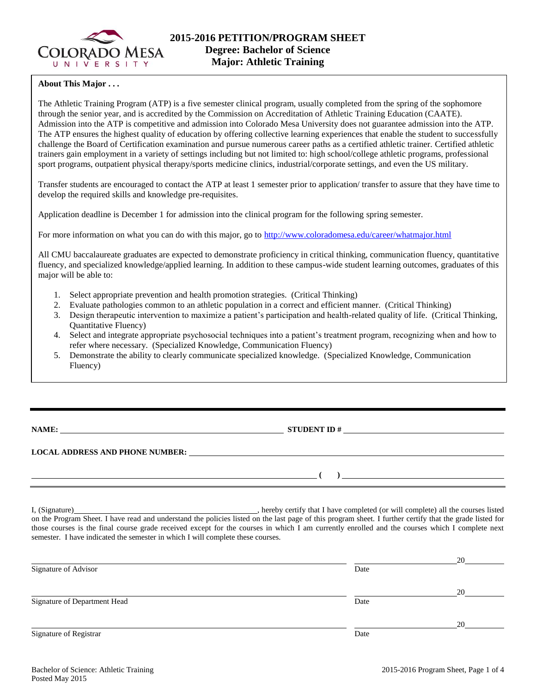

### **About This Major . . .**

The Athletic Training Program (ATP) is a five semester clinical program, usually completed from the spring of the sophomore through the senior year, and is accredited by the Commission on Accreditation of Athletic Training Education (CAATE). Admission into the ATP is competitive and admission into Colorado Mesa University does not guarantee admission into the ATP. The ATP ensures the highest quality of education by offering collective learning experiences that enable the student to successfully challenge the Board of Certification examination and pursue numerous career paths as a certified athletic trainer. Certified athletic trainers gain employment in a variety of settings including but not limited to: high school/college athletic programs, professional sport programs, outpatient physical therapy/sports medicine clinics, industrial/corporate settings, and even the US military.

Transfer students are encouraged to contact the ATP at least 1 semester prior to application/ transfer to assure that they have time to develop the required skills and knowledge pre-requisites.

Application deadline is December 1 for admission into the clinical program for the following spring semester.

For more information on what you can do with this major, go to<http://www.coloradomesa.edu/career/whatmajor.html>

All CMU baccalaureate graduates are expected to demonstrate proficiency in critical thinking, communication fluency, quantitative fluency, and specialized knowledge/applied learning. In addition to these campus-wide student learning outcomes, graduates of this major will be able to:

- 1. Select appropriate prevention and health promotion strategies. (Critical Thinking)
- 2. Evaluate pathologies common to an athletic population in a correct and efficient manner. (Critical Thinking)
- 3. Design therapeutic intervention to maximize a patient's participation and health-related quality of life. (Critical Thinking, Quantitative Fluency)
- 4. Select and integrate appropriate psychosocial techniques into a patient's treatment program, recognizing when and how to refer where necessary. (Specialized Knowledge, Communication Fluency)
- 5. Demonstrate the ability to clearly communicate specialized knowledge. (Specialized Knowledge, Communication Fluency)

**NAME: STUDENT ID #**

**LOCAL ADDRESS AND PHONE NUMBER:**

**( )** 

I, (Signature) , hereby certify that I have completed (or will complete) all the courses listed on the Program Sheet. I have read and understand the policies listed on the last page of this program sheet. I further certify that the grade listed for those courses is the final course grade received except for the courses in which I am currently enrolled and the courses which I complete next semester. I have indicated the semester in which I will complete these courses.

|                              |      | 20 |
|------------------------------|------|----|
| Signature of Advisor         | Date |    |
|                              |      | 20 |
| Signature of Department Head | Date |    |
|                              |      | 20 |
| Signature of Registrar       | Date |    |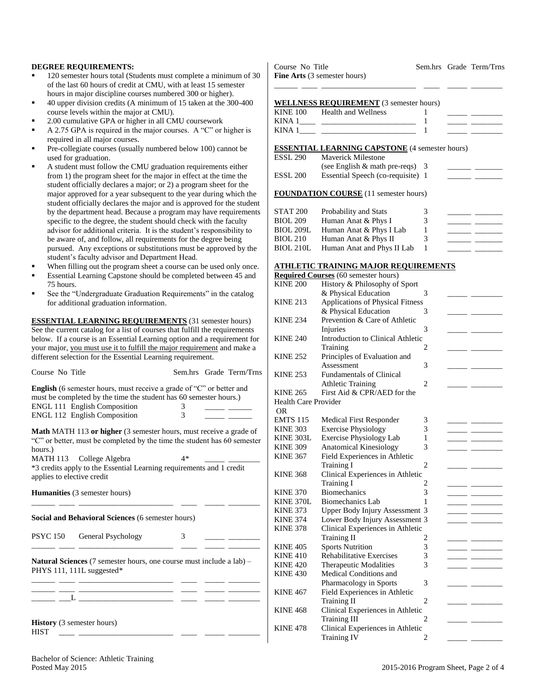#### **DEGREE REQUIREMENTS:**

- 120 semester hours total (Students must complete a minimum of 30 of the last 60 hours of credit at CMU, with at least 15 semester hours in major discipline courses numbered 300 or higher).
- 40 upper division credits (A minimum of 15 taken at the 300-400 course levels within the major at CMU).
- 2.00 cumulative GPA or higher in all CMU coursework
- A 2.75 GPA is required in the major courses. A "C" or higher is required in all major courses.
- Pre-collegiate courses (usually numbered below 100) cannot be used for graduation.
- A student must follow the CMU graduation requirements either from 1) the program sheet for the major in effect at the time the student officially declares a major; or 2) a program sheet for the major approved for a year subsequent to the year during which the student officially declares the major and is approved for the student by the department head. Because a program may have requirements specific to the degree, the student should check with the faculty advisor for additional criteria. It is the student's responsibility to be aware of, and follow, all requirements for the degree being pursued. Any exceptions or substitutions must be approved by the student's faculty advisor and Department Head.
- When filling out the program sheet a course can be used only once.
- Essential Learning Capstone should be completed between 45 and 75 hours.
- See the "Undergraduate Graduation Requirements" in the catalog for additional graduation information.

**ESSENTIAL LEARNING REQUIREMENTS** (31 semester hours) See the current catalog for a list of courses that fulfill the requirements below. If a course is an Essential Learning option and a requirement for your major, you must use it to fulfill the major requirement and make a different selection for the Essential Learning requirement.

| Course No Title                                                                                                                                                                                                                             |        | Sem.hrs Grade Term/Trns |
|---------------------------------------------------------------------------------------------------------------------------------------------------------------------------------------------------------------------------------------------|--------|-------------------------|
| <b>English</b> (6 semester hours, must receive a grade of "C" or better and<br>must be completed by the time the student has 60 semester hours.)<br>ENGL 111 English Composition<br>ENGL 112 English Composition                            | 3<br>3 |                         |
| <b>Math MATH 113 or higher</b> (3 semester hours, must receive a grade of<br>"C" or better, must be completed by the time the student has 60 semester<br>hours.)<br>MATH 113 College Algebra                                                | $4*$   |                         |
| *3 credits apply to the Essential Learning requirements and 1 credit<br>applies to elective credit                                                                                                                                          |        |                         |
| <b>Humanities</b> (3 semester hours)                                                                                                                                                                                                        |        |                         |
| Social and Behavioral Sciences (6 semester hours)                                                                                                                                                                                           |        |                         |
| <b>PSYC 150</b><br>General Psychology                                                                                                                                                                                                       | 3      |                         |
| <b>Natural Sciences</b> (7 semester hours, one course must include a lab) –<br>PHYS 111, 111L suggested*<br><u> 1980 - Johann Barn, mars ann an t-Amhair ann an t-</u>                                                                      |        |                         |
| <u> 2000 - Jan James James James James James James James James James James James James James James James James Ja</u><br>$\mathbf{L}$ , and the contract of the contract of the contract of the contract of the contract of the contract of |        |                         |
| <b>History</b> (3 semester hours)<br><b>HIST</b>                                                                                                                                                                                            |        |                         |

**Fine Arts** (3 semester hours) \_\_\_\_\_\_ \_\_\_\_ \_\_\_\_\_\_\_\_\_\_\_\_\_\_\_\_\_\_\_\_\_\_\_\_ \_\_\_\_ \_\_\_\_\_ \_\_\_\_\_\_\_\_

## Course No Title Sem.hrs Grade Term/Trns

**WELLNESS REQUIREMENT** (3 semester hours)

| <b>KINE 100</b> | <b>Health and Wellness</b> |  |  |
|-----------------|----------------------------|--|--|
| KINA -          |                            |  |  |
| <b>KINA</b>     |                            |  |  |
|                 |                            |  |  |

#### **ESSENTIAL LEARNING CAPSTONE** (4 semester hours)

| ESSL 290 | Maverick Milestone                           |  |
|----------|----------------------------------------------|--|
|          | (see English $&$ math pre-reqs) 3            |  |
| ESSL 200 | Essential Speech (co-requisite) 1            |  |
|          |                                              |  |
|          | <b>FOUNDATION COURSE</b> (11 semester hours) |  |
|          |                                              |  |
| STAT 200 | Probability and Stats                        |  |
| RIOL 200 | $H_{11}$ man Anat & Phys I                   |  |

| שש∡ והדע  | Tropability and plats      |   |  |
|-----------|----------------------------|---|--|
| BIOL 209  | Human Anat & Phys I        | 3 |  |
| BIOL 209L | Human Anat & Phys I Lab    |   |  |
| BIOL 210  | Human Anat & Phys II       | 3 |  |
| BIOL 210L | Human Anat and Phys II Lab |   |  |
|           |                            |   |  |

# **ATHLETIC TRAINING MAJOR REQUIREMENTS**

|                      | <b>Required Courses</b> (60 semester hours) |                |  |
|----------------------|---------------------------------------------|----------------|--|
| <b>KINE 200</b>      | History & Philosophy of Sport               |                |  |
|                      | & Physical Education                        | 3              |  |
| <b>KINE 213</b>      | <b>Applications of Physical Fitness</b>     |                |  |
|                      | & Physical Education                        | 3              |  |
| <b>KINE 234</b>      | Prevention & Care of Athletic               |                |  |
|                      | Injuries                                    | 3              |  |
| <b>KINE 240</b>      | Introduction to Clinical Athletic           |                |  |
|                      | Training                                    | 2              |  |
| <b>KINE 252</b>      | Principles of Evaluation and                |                |  |
|                      | Assessment                                  | 3              |  |
| <b>KINE 253</b>      | <b>Fundamentals of Clinical</b>             |                |  |
|                      | <b>Athletic Training</b>                    | $\overline{2}$ |  |
| <b>KINE 265</b>      | First Aid & CPR/AED for the                 |                |  |
| Health Care Provider |                                             |                |  |
| 0R                   |                                             |                |  |
| <b>EMTS 115</b>      | Medical First Responder                     | 3              |  |
| <b>KINE 303</b>      | <b>Exercise Physiology</b>                  | 3              |  |
| <b>KINE 303L</b>     | <b>Exercise Physiology Lab</b>              | 1              |  |
| <b>KINE 309</b>      | <b>Anatomical Kinesiology</b>               | 3              |  |
| <b>KINE 367</b>      | Field Experiences in Athletic               |                |  |
|                      | Training I                                  | 2              |  |
| <b>KINE 368</b>      | Clinical Experiences in Athletic            |                |  |
|                      | <b>Training I</b>                           | 2              |  |
| <b>KINE 370</b>      | <b>Biomechanics</b>                         | 3              |  |
| <b>KINE 370L</b>     | <b>Biomechanics Lab</b>                     | 1              |  |
| <b>KINE 373</b>      | Upper Body Injury Assessment 3              |                |  |
| <b>KINE 374</b>      | Lower Body Injury Assessment 3              |                |  |
| <b>KINE 378</b>      | Clinical Experiences in Athletic            |                |  |
|                      | Training II                                 | 2              |  |
| <b>KINE 405</b>      | <b>Sports Nutrition</b>                     | 3              |  |
| <b>KINE 410</b>      | <b>Rehabilitative Exercises</b>             | 3              |  |
| <b>KINE 420</b>      | Therapeutic Modalities                      | 3              |  |
| <b>KINE 430</b>      | Medical Conditions and                      |                |  |
|                      | Pharmacology in Sports                      | 3              |  |
| <b>KINE 467</b>      | Field Experiences in Athletic               |                |  |
|                      | Training II                                 | $\overline{2}$ |  |
| <b>KINE 468</b>      | Clinical Experiences in Athletic            |                |  |
|                      | <b>Training III</b>                         | 2              |  |
| <b>KINE 478</b>      | Clinical Experiences in Athletic            |                |  |
|                      | <b>Training IV</b>                          | 2              |  |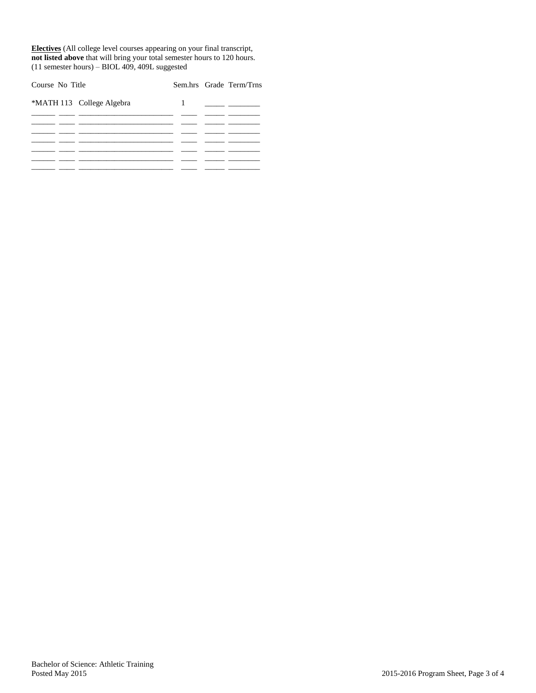**Electives** (All college level courses appearing on your final transcript, **not listed above** that will bring your total semester hours to 120 hours. (11 semester hours) – BIOL 409, 409L suggested

| Course No Title |                           |           | Sem.hrs Grade Term/Trns |
|-----------------|---------------------------|-----------|-------------------------|
|                 | *MATH 113 College Algebra | $1 \quad$ |                         |
|                 |                           |           |                         |
|                 |                           |           |                         |
|                 |                           |           |                         |
|                 |                           |           |                         |
|                 |                           |           |                         |
|                 |                           |           |                         |
|                 |                           |           |                         |